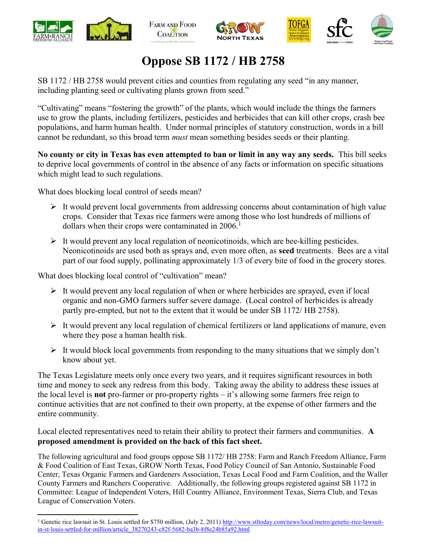





# Oppose SB 1172 / HB 2758

SB 1172 / HB 2758 would prevent cities and counties from regulating any seed "in any manner, including planting seed or cultivating plants grown from seed."

"Cultivating" means "fostering the growth" of the plants, which would include the things the farmers use to grow the plants, including fertilizers, pesticides and herbicides that can kill other crops, crash bee populations, and harm human health. Under normal principles of statutory construction, words in a bill cannot be redundant, so this broad term must mean something besides seeds or their planting.

No county or city in Texas has even attempted to ban or limit in any way any seeds. This bill seeks to deprive local governments of control in the absence of any facts or information on specific situations which might lead to such regulations.

What does blocking local control of seeds mean?

- $\triangleright$  It would prevent local governments from addressing concerns about contamination of high value crops. Consider that Texas rice farmers were among those who lost hundreds of millions of dollars when their crops were contaminated in  $2006$ .<sup>1</sup>
- $\triangleright$  It would prevent any local regulation of neonicotinoids, which are bee-killing pesticides. Neonicotinoids are used both as sprays and, even more often, as seed treatments. Bees are a vital part of our food supply, pollinating approximately 1/3 of every bite of food in the grocery stores.

What does blocking local control of "cultivation" mean?

- $\triangleright$  It would prevent any local regulation of when or where herbicides are sprayed, even if local organic and non-GMO farmers suffer severe damage. (Local control of herbicides is already partly pre-empted, but not to the extent that it would be under SB 1172/ HB 2758).
- $\triangleright$  It would prevent any local regulation of chemical fertilizers or land applications of manure, even where they pose a human health risk.
- $\triangleright$  It would block local governments from responding to the many situations that we simply don't know about yet.

The Texas Legislature meets only once every two years, and it requires significant resources in both time and money to seek any redress from this body. Taking away the ability to address these issues at the local level is not pro-farmer or pro-property rights – it's allowing some farmers free reign to continue activities that are not confined to their own property, at the expense of other farmers and the entire community.

Local elected representatives need to retain their ability to protect their farmers and communities. A proposed amendment is provided on the back of this fact sheet.

The following agricultural and food groups oppose SB 1172/ HB 2758: Farm and Ranch Freedom Alliance, Farm & Food Coalition of East Texas, GROW North Texas, Food Policy Council of San Antonio, Sustainable Food Center, Texas Organic Farmers and Gardeners Association, Texas Local Food and Farm Coalition, and the Waller County Farmers and Ranchers Cooperative. Additionally, the following groups registered against SB 1172 in Committee: League of Independent Voters, Hill Country Alliance, Environment Texas, Sierra Club, and Texas League of Conservation Voters.

<sup>&</sup>lt;sup>1</sup> Genetic rice lawsuit in St. Louis settled for \$750 million, (July 2, 2011) http://www.stltoday.com/news/local/metro/genetic-rice-lawsuitin-st-louis-settled-for-million/article\_38270243-c82f-5682-ba3b-8f8e24b85a92.html